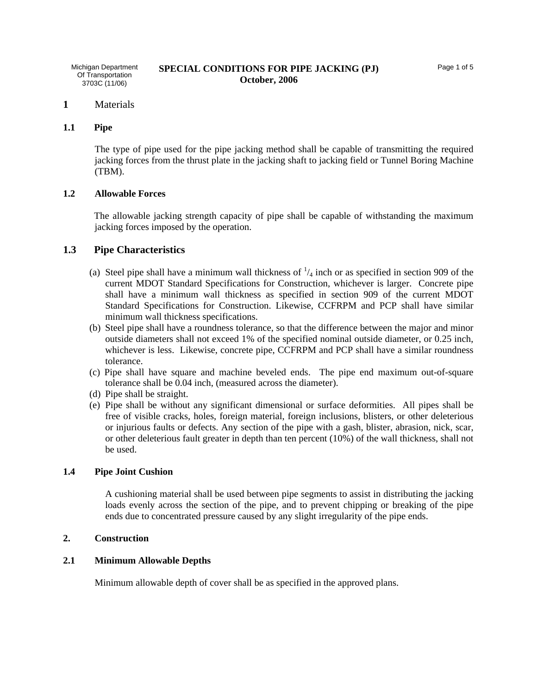### **1** Materials

## **1.1 Pipe**

The type of pipe used for the pipe jacking method shall be capable of transmitting the required jacking forces from the thrust plate in the jacking shaft to jacking field or Tunnel Boring Machine (TBM).

## **1.2 Allowable Forces**

 The allowable jacking strength capacity of pipe shall be capable of withstanding the maximum jacking forces imposed by the operation.

### **1.3 Pipe Characteristics**

- (a) Steel pipe shall have a minimum wall thickness of  $\frac{1}{4}$  inch or as specified in section 909 of the current MDOT Standard Specifications for Construction, whichever is larger. Concrete pipe shall have a minimum wall thickness as specified in section 909 of the current MDOT Standard Specifications for Construction. Likewise, CCFRPM and PCP shall have similar minimum wall thickness specifications.
- (b) Steel pipe shall have a roundness tolerance, so that the difference between the major and minor outside diameters shall not exceed 1% of the specified nominal outside diameter, or 0.25 inch, whichever is less. Likewise, concrete pipe, CCFRPM and PCP shall have a similar roundness tolerance.
- (c) Pipe shall have square and machine beveled ends. The pipe end maximum out-of-square tolerance shall be 0.04 inch, (measured across the diameter).
- (d) Pipe shall be straight.
- (e) Pipe shall be without any significant dimensional or surface deformities. All pipes shall be free of visible cracks, holes, foreign material, foreign inclusions, blisters, or other deleterious or injurious faults or defects. Any section of the pipe with a gash, blister, abrasion, nick, scar, or other deleterious fault greater in depth than ten percent (10%) of the wall thickness, shall not be used.

### **1.4 Pipe Joint Cushion**

A cushioning material shall be used between pipe segments to assist in distributing the jacking loads evenly across the section of the pipe, and to prevent chipping or breaking of the pipe ends due to concentrated pressure caused by any slight irregularity of the pipe ends.

#### **2. Construction**

## **2.1 Minimum Allowable Depths**

Minimum allowable depth of cover shall be as specified in the approved plans.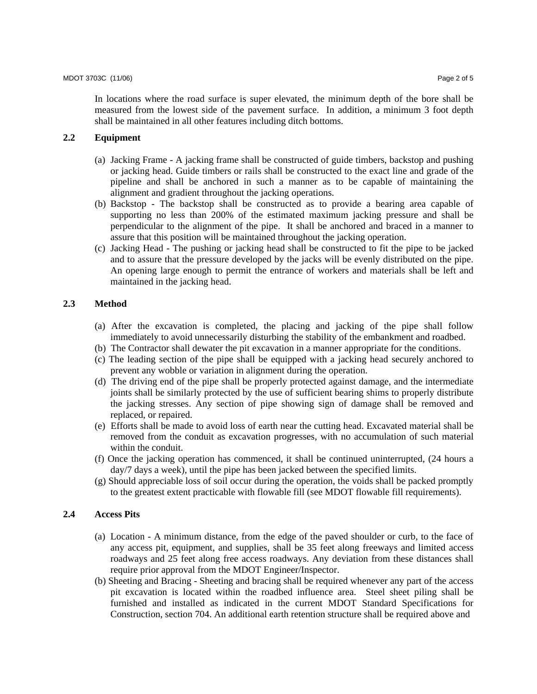In locations where the road surface is super elevated, the minimum depth of the bore shall be measured from the lowest side of the pavement surface. In addition, a minimum 3 foot depth shall be maintained in all other features including ditch bottoms.

## **2.2 Equipment**

- (a) Jacking Frame A jacking frame shall be constructed of guide timbers, backstop and pushing or jacking head. Guide timbers or rails shall be constructed to the exact line and grade of the pipeline and shall be anchored in such a manner as to be capable of maintaining the alignment and gradient throughout the jacking operations.
- (b) Backstop The backstop shall be constructed as to provide a bearing area capable of supporting no less than 200% of the estimated maximum jacking pressure and shall be perpendicular to the alignment of the pipe. It shall be anchored and braced in a manner to assure that this position will be maintained throughout the jacking operation.
- (c) Jacking Head The pushing or jacking head shall be constructed to fit the pipe to be jacked and to assure that the pressure developed by the jacks will be evenly distributed on the pipe. An opening large enough to permit the entrance of workers and materials shall be left and maintained in the jacking head.

## **2.3 Method**

- (a) After the excavation is completed, the placing and jacking of the pipe shall follow immediately to avoid unnecessarily disturbing the stability of the embankment and roadbed.
- (b) The Contractor shall dewater the pit excavation in a manner appropriate for the conditions.
- (c) The leading section of the pipe shall be equipped with a jacking head securely anchored to prevent any wobble or variation in alignment during the operation.
- (d) The driving end of the pipe shall be properly protected against damage, and the intermediate joints shall be similarly protected by the use of sufficient bearing shims to properly distribute the jacking stresses. Any section of pipe showing sign of damage shall be removed and replaced, or repaired.
- (e) Efforts shall be made to avoid loss of earth near the cutting head. Excavated material shall be removed from the conduit as excavation progresses, with no accumulation of such material within the conduit.
- (f) Once the jacking operation has commenced, it shall be continued uninterrupted, (24 hours a day/7 days a week), until the pipe has been jacked between the specified limits.
- (g) Should appreciable loss of soil occur during the operation, the voids shall be packed promptly to the greatest extent practicable with flowable fill (see MDOT flowable fill requirements).

#### **2.4 Access Pits**

- (a) Location A minimum distance, from the edge of the paved shoulder or curb, to the face of any access pit, equipment, and supplies, shall be 35 feet along freeways and limited access roadways and 25 feet along free access roadways. Any deviation from these distances shall require prior approval from the MDOT Engineer/Inspector.
- (b) Sheeting and Bracing Sheeting and bracing shall be required whenever any part of the access pit excavation is located within the roadbed influence area. Steel sheet piling shall be furnished and installed as indicated in the current MDOT Standard Specifications for Construction, section 704. An additional earth retention structure shall be required above and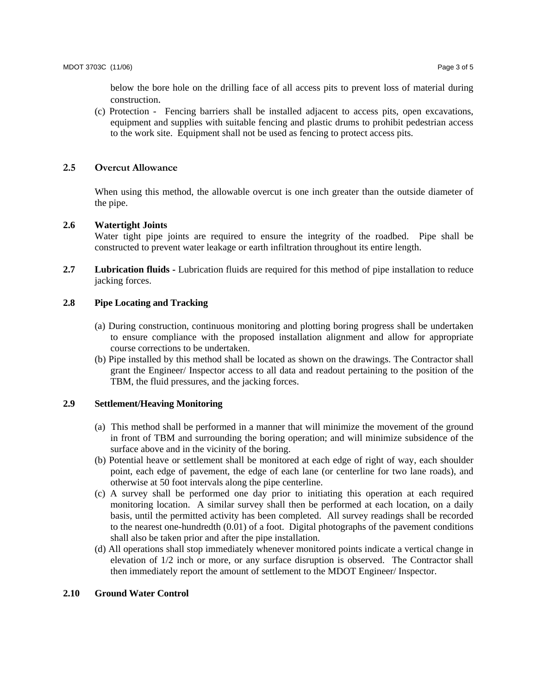below the bore hole on the drilling face of all access pits to prevent loss of material during construction.

(c) Protection - Fencing barriers shall be installed adjacent to access pits, open excavations, equipment and supplies with suitable fencing and plastic drums to prohibit pedestrian access to the work site. Equipment shall not be used as fencing to protect access pits.

### **2.5 Overcut Allowance**

When using this method, the allowable overcut is one inch greater than the outside diameter of the pipe.

### **2.6 Watertight Joints**

Water tight pipe joints are required to ensure the integrity of the roadbed. Pipe shall be constructed to prevent water leakage or earth infiltration throughout its entire length.

**2.7 Lubrication fluids -** Lubrication fluids are required for this method of pipe installation to reduce jacking forces.

# **2.8 Pipe Locating and Tracking**

- (a) During construction, continuous monitoring and plotting boring progress shall be undertaken to ensure compliance with the proposed installation alignment and allow for appropriate course corrections to be undertaken.
- (b) Pipe installed by this method shall be located as shown on the drawings. The Contractor shall grant the Engineer/ Inspector access to all data and readout pertaining to the position of the TBM, the fluid pressures, and the jacking forces.

#### **2.9 Settlement/Heaving Monitoring**

- (a) This method shall be performed in a manner that will minimize the movement of the ground in front of TBM and surrounding the boring operation; and will minimize subsidence of the surface above and in the vicinity of the boring.
- (b) Potential heave or settlement shall be monitored at each edge of right of way, each shoulder point, each edge of pavement, the edge of each lane (or centerline for two lane roads), and otherwise at 50 foot intervals along the pipe centerline.
- (c) A survey shall be performed one day prior to initiating this operation at each required monitoring location. A similar survey shall then be performed at each location, on a daily basis, until the permitted activity has been completed. All survey readings shall be recorded to the nearest one-hundredth (0.01) of a foot. Digital photographs of the pavement conditions shall also be taken prior and after the pipe installation.
- (d) All operations shall stop immediately whenever monitored points indicate a vertical change in elevation of 1/2 inch or more, or any surface disruption is observed. The Contractor shall then immediately report the amount of settlement to the MDOT Engineer/ Inspector.

### **2.10 Ground Water Control**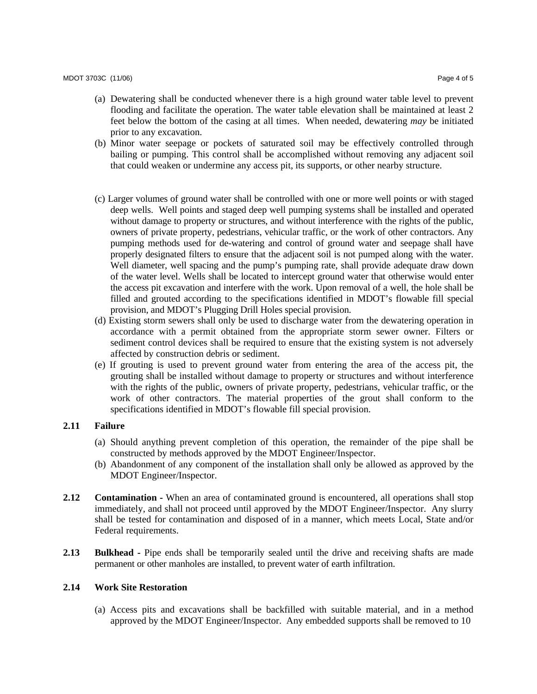- (b) Minor water seepage or pockets of saturated soil may be effectively controlled through bailing or pumping. This control shall be accomplished without removing any adjacent soil that could weaken or undermine any access pit, its supports, or other nearby structure.
- (c) Larger volumes of ground water shall be controlled with one or more well points or with staged deep wells. Well points and staged deep well pumping systems shall be installed and operated without damage to property or structures, and without interference with the rights of the public, owners of private property, pedestrians, vehicular traffic, or the work of other contractors. Any pumping methods used for de-watering and control of ground water and seepage shall have properly designated filters to ensure that the adjacent soil is not pumped along with the water. Well diameter, well spacing and the pump's pumping rate, shall provide adequate draw down of the water level. Wells shall be located to intercept ground water that otherwise would enter the access pit excavation and interfere with the work. Upon removal of a well, the hole shall be filled and grouted according to the specifications identified in MDOT's flowable fill special provision, and MDOT's Plugging Drill Holes special provision.
- (d) Existing storm sewers shall only be used to discharge water from the dewatering operation in accordance with a permit obtained from the appropriate storm sewer owner. Filters or sediment control devices shall be required to ensure that the existing system is not adversely affected by construction debris or sediment.
- (e) If grouting is used to prevent ground water from entering the area of the access pit, the grouting shall be installed without damage to property or structures and without interference with the rights of the public, owners of private property, pedestrians, vehicular traffic, or the work of other contractors. The material properties of the grout shall conform to the specifications identified in MDOT's flowable fill special provision.

## **2.11 Failure**

- (a) Should anything prevent completion of this operation, the remainder of the pipe shall be constructed by methods approved by the MDOT Engineer/Inspector.
- (b) Abandonment of any component of the installation shall only be allowed as approved by the MDOT Engineer/Inspector.
- **2.12** Contamination When an area of contaminated ground is encountered, all operations shall stop immediately, and shall not proceed until approved by the MDOT Engineer/Inspector. Any slurry shall be tested for contamination and disposed of in a manner, which meets Local, State and/or Federal requirements.
- **2.13 Bulkhead** Pipe ends shall be temporarily sealed until the drive and receiving shafts are made permanent or other manholes are installed, to prevent water of earth infiltration.

## **2.14 Work Site Restoration**

(a) Access pits and excavations shall be backfilled with suitable material, and in a method approved by the MDOT Engineer/Inspector. Any embedded supports shall be removed to 10